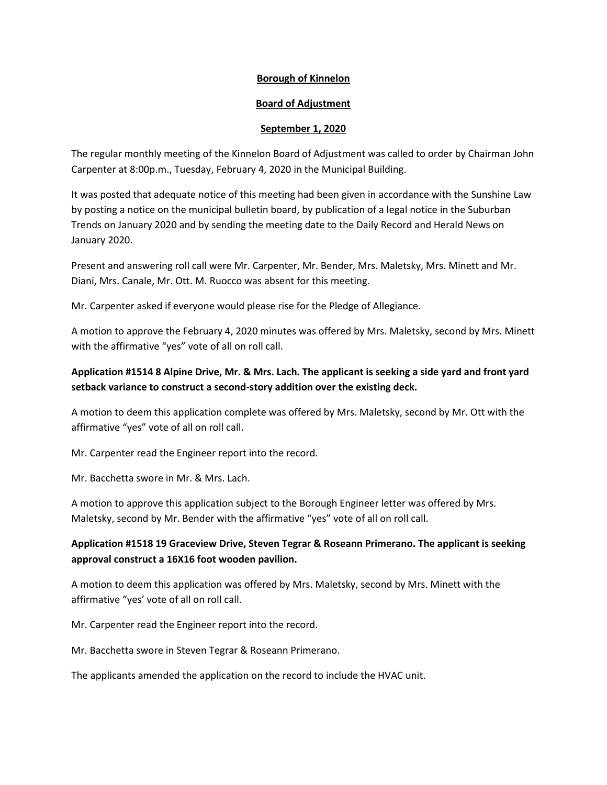## **Borough of Kinnelon**

## **Board of Adjustment**

### **September 1, 2020**

The regular monthly meeting of the Kinnelon Board of Adjustment was called to order by Chairman John Carpenter at 8:00p.m., Tuesday, February 4, 2020 in the Municipal Building.

It was posted that adequate notice of this meeting had been given in accordance with the Sunshine Law by posting a notice on the municipal bulletin board, by publication of a legal notice in the Suburban Trends on January 2020 and by sending the meeting date to the Daily Record and Herald News on January 2020.

Present and answering roll call were Mr. Carpenter, Mr. Bender, Mrs. Maletsky, Mrs. Minett and Mr. Diani, Mrs. Canale, Mr. Ott. M. Ruocco was absent for this meeting.

Mr. Carpenter asked if everyone would please rise for the Pledge of Allegiance.

A motion to approve the February 4, 2020 minutes was offered by Mrs. Maletsky, second by Mrs. Minett with the affirmative "yes" vote of all on roll call.

# **Application #1514 8 Alpine Drive, Mr. & Mrs. Lach. The applicant is seeking a side yard and front yard setback variance to construct a second-story addition over the existing deck.**

A motion to deem this application complete was offered by Mrs. Maletsky, second by Mr. Ott with the affirmative "yes" vote of all on roll call.

Mr. Carpenter read the Engineer report into the record.

Mr. Bacchetta swore in Mr. & Mrs. Lach.

A motion to approve this application subject to the Borough Engineer letter was offered by Mrs. Maletsky, second by Mr. Bender with the affirmative "yes" vote of all on roll call.

# **Application #1518 19 Graceview Drive, Steven Tegrar & Roseann Primerano. The applicant is seeking approval construct a 16X16 foot wooden pavilion.**

A motion to deem this application was offered by Mrs. Maletsky, second by Mrs. Minett with the affirmative "yes' vote of all on roll call.

Mr. Carpenter read the Engineer report into the record.

Mr. Bacchetta swore in Steven Tegrar & Roseann Primerano.

The applicants amended the application on the record to include the HVAC unit.